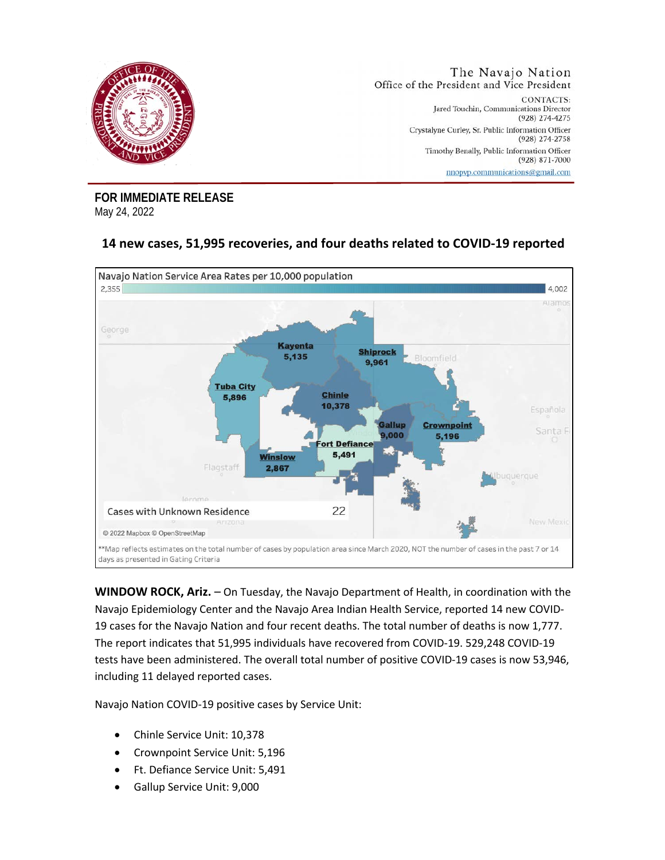

**FOR IMMEDIATE RELEASE**  May 24, 2022

## **14 new cases, 51,995 recoveries, and four deaths related to COVID-19 reported**



**WINDOW ROCK, Ariz.** – On Tuesday, the Navajo Department of Health, in coordination with the Navajo Epidemiology Center and the Navajo Area Indian Health Service, reported 14 new COVID-19 cases for the Navajo Nation and four recent deaths. The total number of deaths is now 1,777. The report indicates that 51,995 individuals have recovered from COVID-19. 529,248 COVID-19 tests have been administered. The overall total number of positive COVID-19 cases is now 53,946, including 11 delayed reported cases.

Navajo Nation COVID-19 positive cases by Service Unit:

- Chinle Service Unit: 10,378
- Crownpoint Service Unit: 5,196
- Ft. Defiance Service Unit: 5,491
- Gallup Service Unit: 9,000